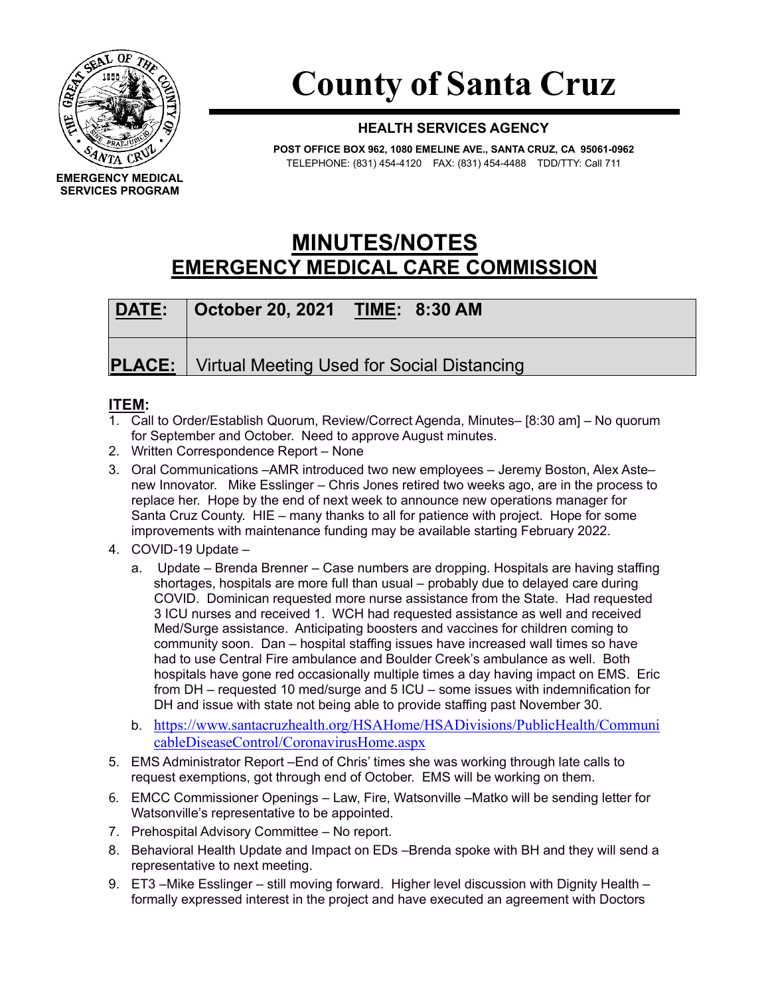

# **County of Santa Cruz**

## **HEALTH SERVICES AGENCY**

**POST OFFICE BOX 962, 1080 EMELINE AVE., SANTA CRUZ, CA 95061-0962** TELEPHONE: (831) 454-4120 FAX: (831) 454-4488 TDD/TTY: Call 711

# **MINUTES/NOTES EMERGENCY MEDICAL CARE COMMISSION**

| <u>DATE</u> :      October 20, 2021 <u>TIME</u> :   8:30 AM |
|-------------------------------------------------------------|
| <b>PLACE:</b>   Virtual Meeting Used for Social Distancing  |

## **ITEM:**

- 1. Call to Order/Establish Quorum, Review/Correct Agenda, Minutes– [8:30 am] No quorum for September and October. Need to approve August minutes.
- 2. Written Correspondence Report None
- 3. Oral Communications –AMR introduced two new employees Jeremy Boston, Alex Aste– new Innovator. Mike Esslinger – Chris Jones retired two weeks ago, are in the process to replace her. Hope by the end of next week to announce new operations manager for Santa Cruz County. HIE – many thanks to all for patience with project. Hope for some improvements with maintenance funding may be available starting February 2022.
- 4. COVID-19 Update
	- a. Update Brenda Brenner Case numbers are dropping. Hospitals are having staffing shortages, hospitals are more full than usual – probably due to delayed care during COVID. Dominican requested more nurse assistance from the State. Had requested 3 ICU nurses and received 1. WCH had requested assistance as well and received Med/Surge assistance. Anticipating boosters and vaccines for children coming to community soon. Dan – hospital staffing issues have increased wall times so have had to use Central Fire ambulance and Boulder Creek's ambulance as well. Both hospitals have gone red occasionally multiple times a day having impact on EMS. Eric from DH – requested 10 med/surge and 5 ICU – some issues with indemnification for DH and issue with state not being able to provide staffing past November 30.
	- b. [https://www.santacruzhealth.org/HSAHome/HSADivisions/PublicHealth/Communi](https://www.santacruzhealth.org/HSAHome/HSADivisions/PublicHealth/CommunicableDiseaseControl/CoronavirusHome.aspx) [cableDiseaseControl/CoronavirusHome.aspx](https://www.santacruzhealth.org/HSAHome/HSADivisions/PublicHealth/CommunicableDiseaseControl/CoronavirusHome.aspx)
- 5. EMS Administrator Report –End of Chris' times she was working through late calls to request exemptions, got through end of October. EMS will be working on them.
- 6. EMCC Commissioner Openings Law, Fire, Watsonville –Matko will be sending letter for Watsonville's representative to be appointed.
- 7. Prehospital Advisory Committee No report.
- 8. Behavioral Health Update and Impact on EDs –Brenda spoke with BH and they will send a representative to next meeting.
- 9. ET3 –Mike Esslinger still moving forward. Higher level discussion with Dignity Health formally expressed interest in the project and have executed an agreement with Doctors

**EMERGENCY MEDICAL SERVICES PROGRAM**